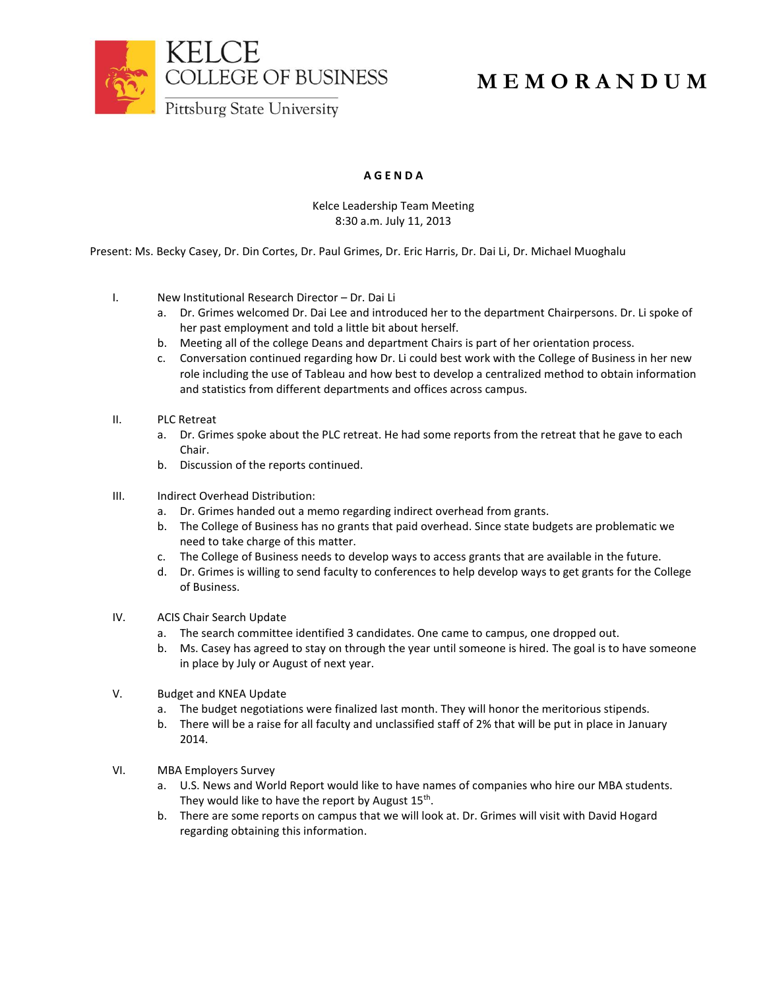

## **M E M O R A N D U M**

### **A G E N D A**

#### Kelce Leadership Team Meeting 8:30 a.m. July 11, 2013

Present: Ms. Becky Casey, Dr. Din Cortes, Dr. Paul Grimes, Dr. Eric Harris, Dr. Dai Li, Dr. Michael Muoghalu

- I. New Institutional Research Director Dr. Dai Li
	- a. Dr. Grimes welcomed Dr. Dai Lee and introduced her to the department Chairpersons. Dr. Li spoke of her past employment and told a little bit about herself.
	- b. Meeting all of the college Deans and department Chairs is part of her orientation process.
	- c. Conversation continued regarding how Dr. Li could best work with the College of Business in her new role including the use of Tableau and how best to develop a centralized method to obtain information and statistics from different departments and offices across campus.
- II. PLC Retreat
	- a. Dr. Grimes spoke about the PLC retreat. He had some reports from the retreat that he gave to each Chair.
	- b. Discussion of the reports continued.
- III. Indirect Overhead Distribution:
	- a. Dr. Grimes handed out a memo regarding indirect overhead from grants.
	- b. The College of Business has no grants that paid overhead. Since state budgets are problematic we need to take charge of this matter.
	- c. The College of Business needs to develop ways to access grants that are available in the future.
	- d. Dr. Grimes is willing to send faculty to conferences to help develop ways to get grants for the College of Business.
- IV. ACIS Chair Search Update
	- a. The search committee identified 3 candidates. One came to campus, one dropped out.
	- b. Ms. Casey has agreed to stay on through the year until someone is hired. The goal is to have someone in place by July or August of next year.
- V. Budget and KNEA Update
	- a. The budget negotiations were finalized last month. They will honor the meritorious stipends.
	- b. There will be a raise for all faculty and unclassified staff of 2% that will be put in place in January 2014.
- VI. MBA Employers Survey
	- a. U.S. News and World Report would like to have names of companies who hire our MBA students. They would like to have the report by August  $15^{\text{th}}$ .
	- b. There are some reports on campus that we will look at. Dr. Grimes will visit with David Hogard regarding obtaining this information.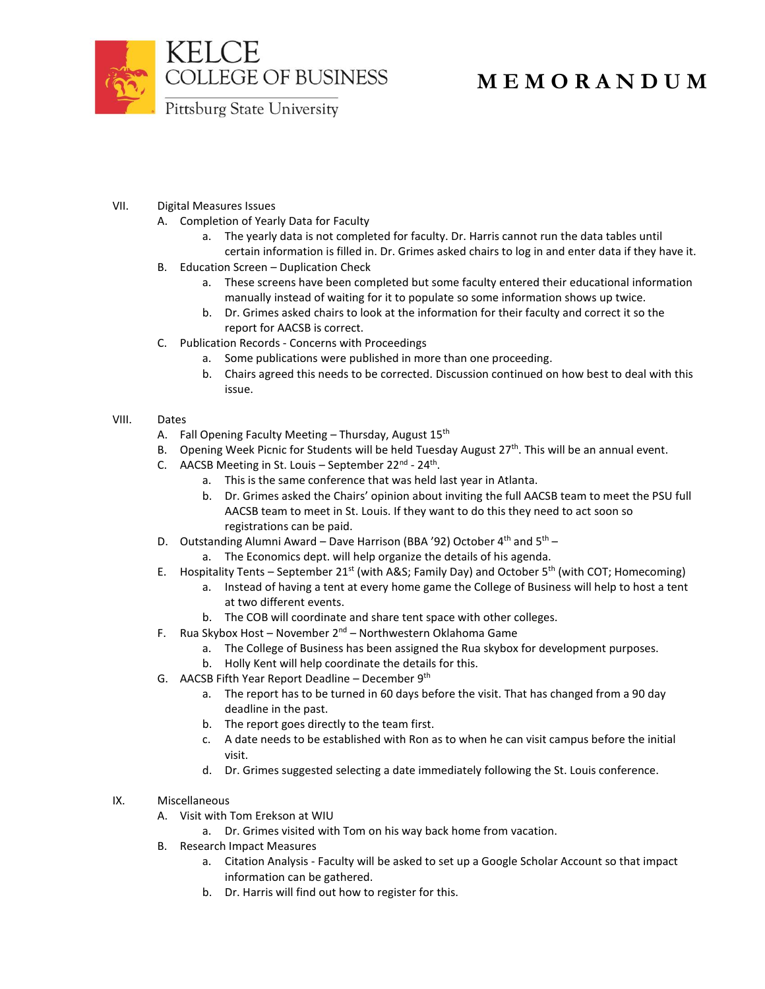

# **M E M O R A N D U M**

VII. Digital Measures Issues

- A. Completion of Yearly Data for Faculty
	- a. The yearly data is not completed for faculty. Dr. Harris cannot run the data tables until certain information is filled in. Dr. Grimes asked chairs to log in and enter data if they have it.
- B. Education Screen Duplication Check
	- a. These screens have been completed but some faculty entered their educational information manually instead of waiting for it to populate so some information shows up twice.
	- b. Dr. Grimes asked chairs to look at the information for their faculty and correct it so the report for AACSB is correct.
- C. Publication Records Concerns with Proceedings
	- a. Some publications were published in more than one proceeding.
	- b. Chairs agreed this needs to be corrected. Discussion continued on how best to deal with this issue.

#### VIII. Dates

- A. Fall Opening Faculty Meeting Thursday, August 15<sup>th</sup>
- B. Opening Week Picnic for Students will be held Tuesday August  $27<sup>th</sup>$ . This will be an annual event.
- C. AACSB Meeting in St. Louis September 22<sup>nd</sup> 24<sup>th</sup>.
	- a. This is the same conference that was held last year in Atlanta.
	- b. Dr. Grimes asked the Chairs' opinion about inviting the full AACSB team to meet the PSU full AACSB team to meet in St. Louis. If they want to do this they need to act soon so registrations can be paid.
- D. Outstanding Alumni Award Dave Harrison (BBA '92) October  $4<sup>th</sup>$  and  $5<sup>th</sup>$ 
	- a. The Economics dept. will help organize the details of his agenda.
- E. Hospitality Tents September 21<sup>st</sup> (with A&S; Family Day) and October 5<sup>th</sup> (with COT; Homecoming)
	- a. Instead of having a tent at every home game the College of Business will help to host a tent at two different events.
	- b. The COB will coordinate and share tent space with other colleges.
- F. Rua Skybox Host November 2<sup>nd</sup> Northwestern Oklahoma Game
	- a. The College of Business has been assigned the Rua skybox for development purposes.
	- b. Holly Kent will help coordinate the details for this.
- G. AACSB Fifth Year Report Deadline December 9<sup>th</sup>
	- a. The report has to be turned in 60 days before the visit. That has changed from a 90 day deadline in the past.
	- b. The report goes directly to the team first.
	- c. A date needs to be established with Ron as to when he can visit campus before the initial visit.
	- d. Dr. Grimes suggested selecting a date immediately following the St. Louis conference.
- IX. Miscellaneous
	- A. Visit with Tom Erekson at WIU
		- a. Dr. Grimes visited with Tom on his way back home from vacation.
	- B. Research Impact Measures
		- a. Citation Analysis Faculty will be asked to set up a Google Scholar Account so that impact information can be gathered.
		- b. Dr. Harris will find out how to register for this.